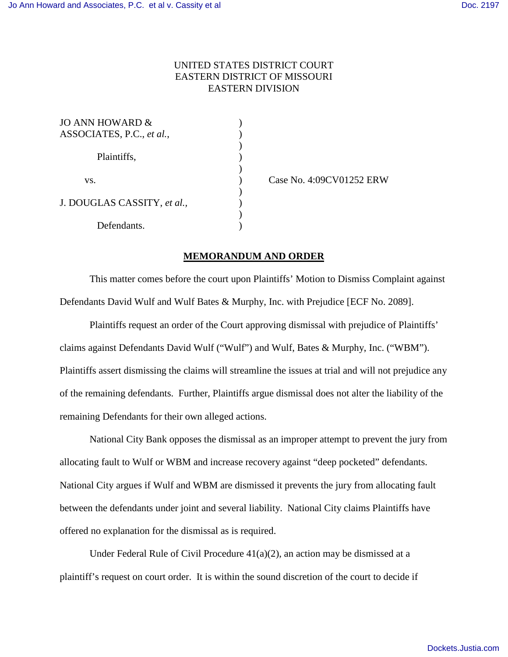## UNITED STATES DISTRICT COURT EASTERN DISTRICT OF MISSOURI EASTERN DIVISION

| JO ANN HOWARD $\&$          |  |
|-----------------------------|--|
| ASSOCIATES, P.C., et al.,   |  |
|                             |  |
| Plaintiffs,                 |  |
|                             |  |
| VS.                         |  |
|                             |  |
| J. DOUGLAS CASSITY, et al., |  |
|                             |  |
| Defendants.                 |  |

) Case No. 4:09CV01252 ERW

## **MEMORANDUM AND ORDER**

This matter comes before the court upon Plaintiffs' Motion to Dismiss Complaint against Defendants David Wulf and Wulf Bates & Murphy, Inc. with Prejudice [ECF No. 2089].

 Plaintiffs request an order of the Court approving dismissal with prejudice of Plaintiffs' claims against Defendants David Wulf ("Wulf") and Wulf, Bates & Murphy, Inc. ("WBM"). Plaintiffs assert dismissing the claims will streamline the issues at trial and will not prejudice any of the remaining defendants. Further, Plaintiffs argue dismissal does not alter the liability of the remaining Defendants for their own alleged actions.

 National City Bank opposes the dismissal as an improper attempt to prevent the jury from allocating fault to Wulf or WBM and increase recovery against "deep pocketed" defendants. National City argues if Wulf and WBM are dismissed it prevents the jury from allocating fault between the defendants under joint and several liability. National City claims Plaintiffs have offered no explanation for the dismissal as is required.

 Under Federal Rule of Civil Procedure 41(a)(2), an action may be dismissed at a plaintiff's request on court order. It is within the sound discretion of the court to decide if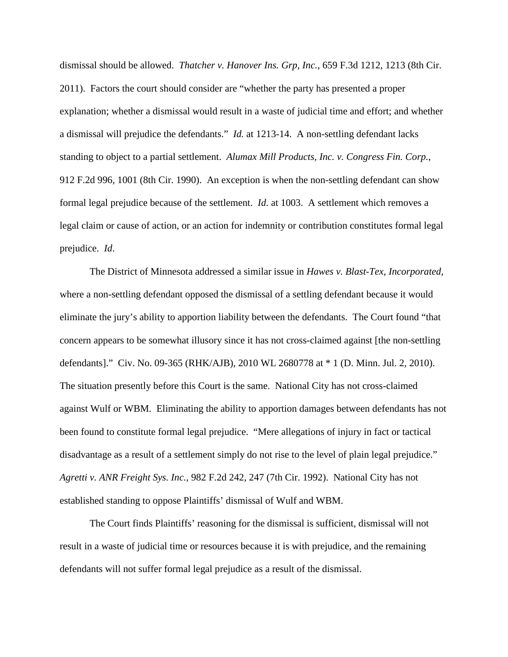dismissal should be allowed. *Thatcher v. Hanover Ins. Grp, Inc.*, 659 F.3d 1212, 1213 (8th Cir. 2011). Factors the court should consider are "whether the party has presented a proper explanation; whether a dismissal would result in a waste of judicial time and effort; and whether a dismissal will prejudice the defendants." *Id.* at 1213-14. A non-settling defendant lacks standing to object to a partial settlement. *Alumax Mill Products, Inc. v. Congress Fin. Corp.*, 912 F.2d 996, 1001 (8th Cir. 1990). An exception is when the non-settling defendant can show formal legal prejudice because of the settlement. *Id*. at 1003. A settlement which removes a legal claim or cause of action, or an action for indemnity or contribution constitutes formal legal prejudice. *Id*.

The District of Minnesota addressed a similar issue in *Hawes v. Blast-Tex, Incorporated*, where a non-settling defendant opposed the dismissal of a settling defendant because it would eliminate the jury's ability to apportion liability between the defendants. The Court found "that concern appears to be somewhat illusory since it has not cross-claimed against [the non-settling defendants]." Civ. No. 09-365 (RHK/AJB), 2010 WL 2680778 at \* 1 (D. Minn. Jul. 2, 2010). The situation presently before this Court is the same. National City has not cross-claimed against Wulf or WBM. Eliminating the ability to apportion damages between defendants has not been found to constitute formal legal prejudice. "Mere allegations of injury in fact or tactical disadvantage as a result of a settlement simply do not rise to the level of plain legal prejudice." *Agretti v. ANR Freight Sys. Inc.*, 982 F.2d 242, 247 (7th Cir. 1992). National City has not established standing to oppose Plaintiffs' dismissal of Wulf and WBM.

The Court finds Plaintiffs' reasoning for the dismissal is sufficient, dismissal will not result in a waste of judicial time or resources because it is with prejudice, and the remaining defendants will not suffer formal legal prejudice as a result of the dismissal.